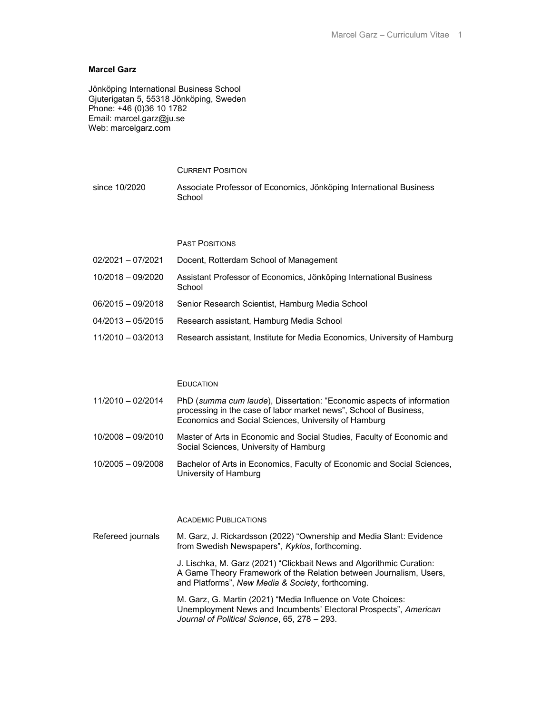# Marcel Garz

Jönköping International Business School Gjuterigatan 5, 55318 Jönköping, Sweden Phone: +46 (0)36 10 1782 Email: marcel.garz@ju.se Web: marcelgarz.com

# CURRENT POSITION since 10/2020 Associate Professor of Economics, Jönköping International Business School

## PAST POSITIONS

| 02/2021 - 07/2021   | Docent, Rotterdam School of Management                                       |
|---------------------|------------------------------------------------------------------------------|
| 10/2018 - 09/2020   | Assistant Professor of Economics, Jönköping International Business<br>School |
| $06/2015 - 09/2018$ | Senior Research Scientist, Hamburg Media School                              |
| 04/2013 - 05/2015   | Research assistant, Hamburg Media School                                     |
| 11/2010 - 03/2013   | Research assistant, Institute for Media Economics, University of Hamburg     |

## EDUCATION

| 11/2010 - 02/2014 | PhD (summa cum laude), Dissertation: "Economic aspects of information<br>processing in the case of labor market news", School of Business,<br>Economics and Social Sciences, University of Hamburg |
|-------------------|----------------------------------------------------------------------------------------------------------------------------------------------------------------------------------------------------|
| 10/2008 - 09/2010 | Master of Arts in Economic and Social Studies, Faculty of Economic and<br>Social Sciences, University of Hamburg                                                                                   |

10/2005 – 09/2008 Bachelor of Arts in Economics, Faculty of Economic and Social Sciences, University of Hamburg

#### ACADEMIC PUBLICATIONS

Refereed journals M. Garz, J. Rickardsson (2022) "Ownership and Media Slant: Evidence from Swedish Newspapers", Kyklos, forthcoming. J. Lischka, M. Garz (2021) "Clickbait News and Algorithmic Curation: A Game Theory Framework of the Relation between Journalism, Users, and Platforms", New Media & Society, forthcoming. M. Garz, G. Martin (2021) "Media Influence on Vote Choices:

Unemployment News and Incumbents' Electoral Prospects", American Journal of Political Science, 65, 278 – 293.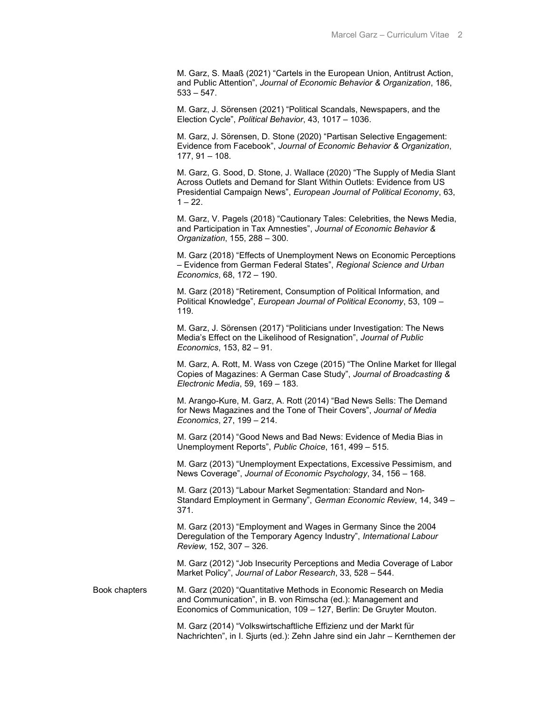M. Garz, S. Maaß (2021) "Cartels in the European Union, Antitrust Action, and Public Attention", Journal of Economic Behavior & Organization, 186,  $533 - 547$ .

 M. Garz, J. Sörensen (2021) "Political Scandals, Newspapers, and the Election Cycle", Political Behavior, 43, 1017 – 1036.

 M. Garz, J. Sörensen, D. Stone (2020) "Partisan Selective Engagement: Evidence from Facebook", Journal of Economic Behavior & Organization, 177, 91 – 108.

 M. Garz, G. Sood, D. Stone, J. Wallace (2020) "The Supply of Media Slant Across Outlets and Demand for Slant Within Outlets: Evidence from US Presidential Campaign News", European Journal of Political Economy, 63,  $1 - 22$ .

 M. Garz, V. Pagels (2018) "Cautionary Tales: Celebrities, the News Media, and Participation in Tax Amnesties", Journal of Economic Behavior & Organization, 155, 288 – 300.

 M. Garz (2018) "Effects of Unemployment News on Economic Perceptions – Evidence from German Federal States", Regional Science and Urban Economics, 68, 172 – 190.

 M. Garz (2018) "Retirement, Consumption of Political Information, and Political Knowledge", European Journal of Political Economy, 53, 109 – 119.

 M. Garz, J. Sörensen (2017) "Politicians under Investigation: The News Media's Effect on the Likelihood of Resignation", Journal of Public Economics, 153, 82 – 91.

 M. Garz, A. Rott, M. Wass von Czege (2015) "The Online Market for Illegal Copies of Magazines: A German Case Study", Journal of Broadcasting & Electronic Media, 59, 169 – 183.

 M. Arango-Kure, M. Garz, A. Rott (2014) "Bad News Sells: The Demand for News Magazines and the Tone of Their Covers", Journal of Media Economics, 27, 199 – 214.

 M. Garz (2014) "Good News and Bad News: Evidence of Media Bias in Unemployment Reports", Public Choice, 161, 499 – 515.

 M. Garz (2013) "Unemployment Expectations, Excessive Pessimism, and News Coverage", Journal of Economic Psychology, 34, 156 – 168.

 M. Garz (2013) "Labour Market Segmentation: Standard and Non-Standard Employment in Germany", German Economic Review, 14, 349 – 371.

 M. Garz (2013) "Employment and Wages in Germany Since the 2004 Deregulation of the Temporary Agency Industry", International Labour Review, 152, 307 – 326.

 M. Garz (2012) "Job Insecurity Perceptions and Media Coverage of Labor Market Policy", Journal of Labor Research, 33, 528 – 544.

Book chapters M. Garz (2020) "Quantitative Methods in Economic Research on Media and Communication", in B. von Rimscha (ed.): Management and Economics of Communication, 109 – 127, Berlin: De Gruyter Mouton.

> M. Garz (2014) "Volkswirtschaftliche Effizienz und der Markt für Nachrichten", in I. Sjurts (ed.): Zehn Jahre sind ein Jahr – Kernthemen der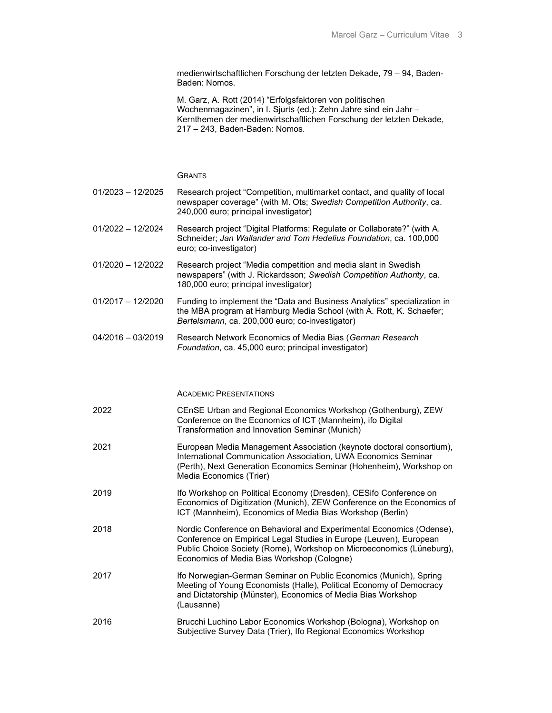medienwirtschaftlichen Forschung der letzten Dekade, 79 – 94, Baden-Baden: Nomos.

 M. Garz, A. Rott (2014) "Erfolgsfaktoren von politischen Wochenmagazinen", in I. Sjurts (ed.): Zehn Jahre sind ein Jahr – Kernthemen der medienwirtschaftlichen Forschung der letzten Dekade, 217 – 243, Baden-Baden: Nomos.

**GRANTS** 

- 01/2023 12/2025 Research project "Competition, multimarket contact, and quality of local newspaper coverage" (with M. Ots; Swedish Competition Authority, ca. 240,000 euro; principal investigator)
- 01/2022 12/2024 Research project "Digital Platforms: Regulate or Collaborate?" (with A. Schneider; Jan Wallander and Tom Hedelius Foundation, ca. 100,000 euro; co-investigator)
- 01/2020 12/2022 Research project "Media competition and media slant in Swedish newspapers" (with J. Rickardsson; Swedish Competition Authority, ca. 180,000 euro; principal investigator)
- 01/2017 12/2020 Funding to implement the "Data and Business Analytics" specialization in the MBA program at Hamburg Media School (with A. Rott, K. Schaefer; Bertelsmann, ca. 200,000 euro; co-investigator)
- 04/2016 03/2019 Research Network Economics of Media Bias (German Research Foundation, ca. 45,000 euro; principal investigator)

ACADEMIC PRESENTATIONS

| 2022 | CEnSE Urban and Regional Economics Workshop (Gothenburg), ZEW<br>Conference on the Economics of ICT (Mannheim), ifo Digital<br>Transformation and Innovation Seminar (Munich)                                                                                    |
|------|------------------------------------------------------------------------------------------------------------------------------------------------------------------------------------------------------------------------------------------------------------------|
| 2021 | European Media Management Association (keynote doctoral consortium),<br>International Communication Association, UWA Economics Seminar<br>(Perth), Next Generation Economics Seminar (Hohenheim), Workshop on<br>Media Economics (Trier)                         |
| 2019 | Ifo Workshop on Political Economy (Dresden), CESifo Conference on<br>Economics of Digitization (Munich), ZEW Conference on the Economics of<br>ICT (Mannheim), Economics of Media Bias Workshop (Berlin)                                                         |
| 2018 | Nordic Conference on Behavioral and Experimental Economics (Odense),<br>Conference on Empirical Legal Studies in Europe (Leuven), European<br>Public Choice Society (Rome), Workshop on Microeconomics (Lüneburg),<br>Economics of Media Bias Workshop (Cologne) |
| 2017 | Ifo Norwegian-German Seminar on Public Economics (Munich), Spring<br>Meeting of Young Economists (Halle), Political Economy of Democracy<br>and Dictatorship (Münster), Economics of Media Bias Workshop<br>(Lausanne)                                           |
| 2016 | Brucchi Luchino Labor Economics Workshop (Bologna), Workshop on<br>Subjective Survey Data (Trier), Ifo Regional Economics Workshop                                                                                                                               |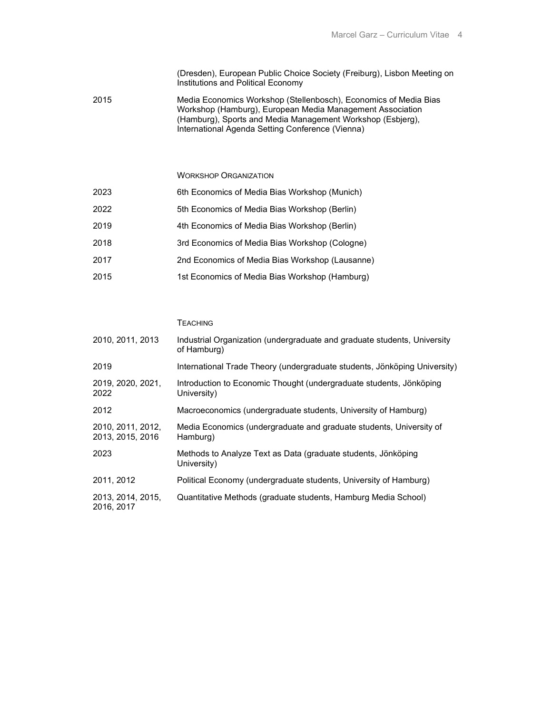(Dresden), European Public Choice Society (Freiburg), Lisbon Meeting on Institutions and Political Economy

2015 Media Economics Workshop (Stellenbosch), Economics of Media Bias Workshop (Hamburg), European Media Management Association (Hamburg), Sports and Media Management Workshop (Esbjerg), International Agenda Setting Conference (Vienna)

WORKSHOP ORGANIZATION

| 2023 | 6th Economics of Media Bias Workshop (Munich)   |
|------|-------------------------------------------------|
| 2022 | 5th Economics of Media Bias Workshop (Berlin)   |
| 2019 | 4th Economics of Media Bias Workshop (Berlin)   |
| 2018 | 3rd Economics of Media Bias Workshop (Cologne)  |
| 2017 | 2nd Economics of Media Bias Workshop (Lausanne) |
| 2015 | 1st Economics of Media Bias Workshop (Hamburg)  |

### TEACHING

| 2010, 2011, 2013                      | Industrial Organization (undergraduate and graduate students, University<br>of Hamburg) |
|---------------------------------------|-----------------------------------------------------------------------------------------|
| 2019                                  | International Trade Theory (undergraduate students, Jönköping University)               |
| 2019, 2020, 2021,<br>2022             | Introduction to Economic Thought (undergraduate students, Jönköping<br>University)      |
| 2012                                  | Macroeconomics (undergraduate students, University of Hamburg)                          |
| 2010, 2011, 2012,<br>2013, 2015, 2016 | Media Economics (undergraduate and graduate students, University of<br>Hamburg)         |
| 2023                                  | Methods to Analyze Text as Data (graduate students, Jönköping<br>University)            |
| 2011, 2012                            | Political Economy (undergraduate students, University of Hamburg)                       |
| 2013, 2014, 2015,<br>2016, 2017       | Quantitative Methods (graduate students, Hamburg Media School)                          |